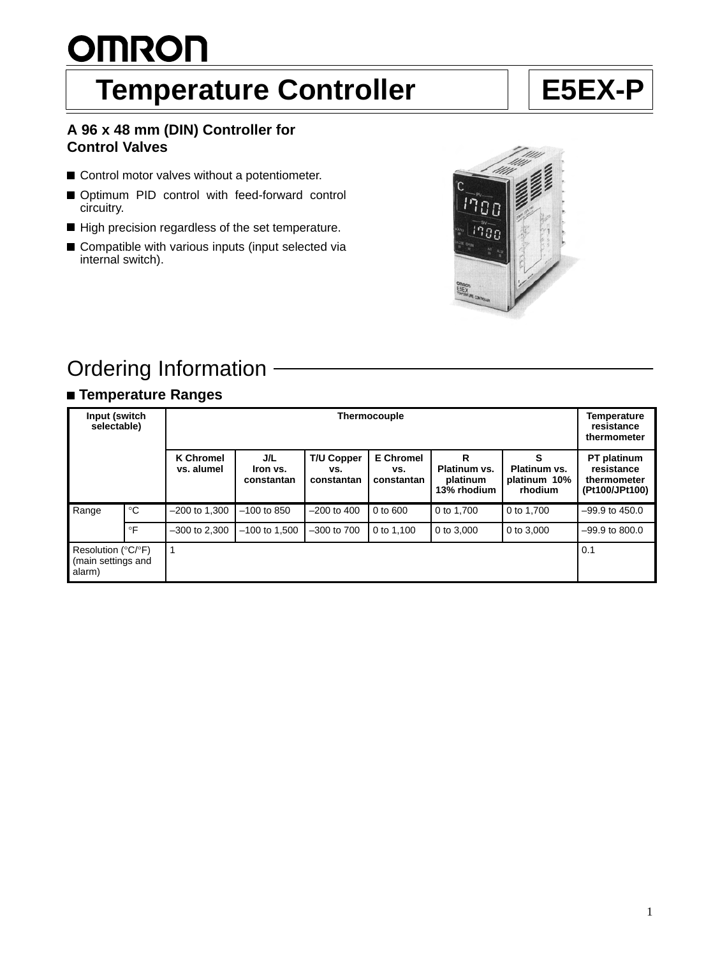# <u>OMRON</u>

# **Temperature Controller | E5EX-P**

### **A 96 x 48 mm (DIN) Controller for Control Valves**

- Control motor valves without a potentiometer.
- Optimum PID control with feed-forward control circuitry.
- High precision regardless of the set temperature.
- Compatible with various inputs (input selected via internal switch).



# Ordering Information

# **Temperature Ranges**

| Input (switch<br>selectable)                       |             | Thermocouple                   |                               |                                        |                                       |                                              | Temperature<br>resistance<br>thermometer |                                                            |
|----------------------------------------------------|-------------|--------------------------------|-------------------------------|----------------------------------------|---------------------------------------|----------------------------------------------|------------------------------------------|------------------------------------------------------------|
|                                                    |             | <b>K Chromel</b><br>vs. alumel | J/L<br>Iron vs.<br>constantan | <b>T/U Copper</b><br>VS.<br>constantan | <b>E</b> Chromel<br>VS.<br>constantan | R<br>Platinum vs.<br>platinum<br>13% rhodium | Platinum vs.<br>platinum 10%<br>rhodium  | PT platinum<br>resistance<br>thermometer<br>(Pt100/JPt100) |
| Range                                              | $^{\circ}C$ | $-200$ to 1,300                | $-100$ to 850                 | $-200$ to $400$                        | $0$ to $600$                          | 0 to 1.700                                   | 0 to 1.700                               | $-99.9$ to 450.0                                           |
|                                                    | $\circ$ F   | $-300$ to 2,300                | $-100$ to 1,500               | $-300$ to $700$                        | 0 to 1.100                            | 0 to 3,000                                   | 0 to 3,000                               | $-99.9$ to 800.0                                           |
| Resolution (°C/°F)<br>(main settings and<br>alarm) |             |                                |                               |                                        |                                       |                                              |                                          | 0.1                                                        |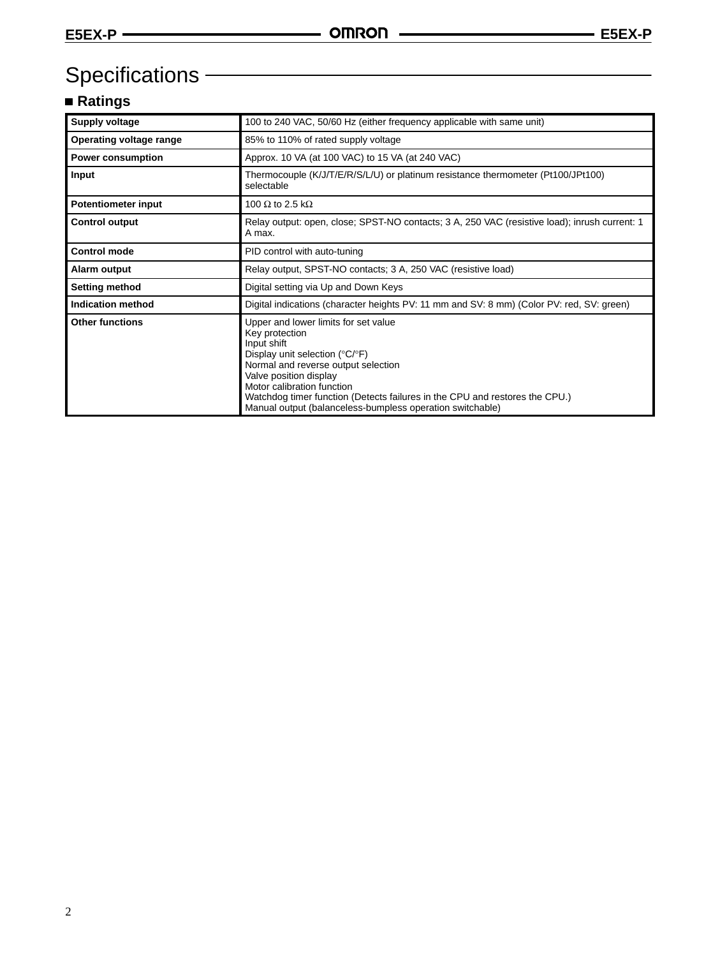# Specifications -

# **Ratings**

| Supply voltage             | 100 to 240 VAC, 50/60 Hz (either frequency applicable with same unit)                                                                                                                                                                                                                                                                                                    |
|----------------------------|--------------------------------------------------------------------------------------------------------------------------------------------------------------------------------------------------------------------------------------------------------------------------------------------------------------------------------------------------------------------------|
| Operating voltage range    | 85% to 110% of rated supply voltage                                                                                                                                                                                                                                                                                                                                      |
| <b>Power consumption</b>   | Approx. 10 VA (at 100 VAC) to 15 VA (at 240 VAC)                                                                                                                                                                                                                                                                                                                         |
| Input                      | Thermocouple (K/J/T/E/R/S/L/U) or platinum resistance thermometer (Pt100/JPt100)<br>selectable                                                                                                                                                                                                                                                                           |
| <b>Potentiometer input</b> | 100 $\Omega$ to 2.5 k $\Omega$                                                                                                                                                                                                                                                                                                                                           |
| <b>Control output</b>      | Relay output: open, close; SPST-NO contacts; 3 A, 250 VAC (resistive load); inrush current: 1<br>A max.                                                                                                                                                                                                                                                                  |
| <b>Control mode</b>        | PID control with auto-tuning                                                                                                                                                                                                                                                                                                                                             |
| Alarm output               | Relay output, SPST-NO contacts; 3 A, 250 VAC (resistive load)                                                                                                                                                                                                                                                                                                            |
| Setting method             | Digital setting via Up and Down Keys                                                                                                                                                                                                                                                                                                                                     |
| Indication method          | Digital indications (character heights PV: 11 mm and SV: 8 mm) (Color PV: red, SV: green)                                                                                                                                                                                                                                                                                |
| <b>Other functions</b>     | Upper and lower limits for set value<br>Key protection<br>Input shift<br>Display unit selection ( ${}^{\circ}C/{}^{\circ}F$ )<br>Normal and reverse output selection<br>Valve position display<br>Motor calibration function<br>Watchdog timer function (Detects failures in the CPU and restores the CPU.)<br>Manual output (balanceless-bumpless operation switchable) |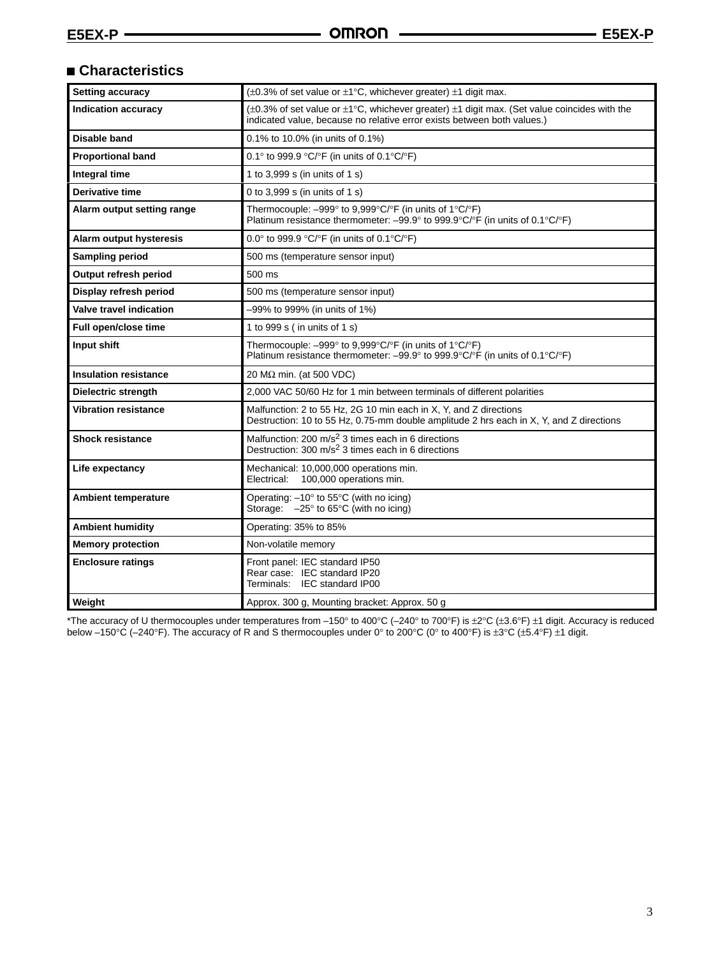# **Characteristics**

| <b>Setting accuracy</b>      | $(\pm 0.3\%$ of set value or $\pm 1\degree$ C, whichever greater) $\pm 1$ digit max.                                                                                                           |
|------------------------------|------------------------------------------------------------------------------------------------------------------------------------------------------------------------------------------------|
| <b>Indication accuracy</b>   | ( $\pm 0.3\%$ of set value or $\pm 1\degree$ C, whichever greater) $\pm 1$ digit max. (Set value coincides with the<br>indicated value, because no relative error exists between both values.) |
| <b>Disable band</b>          | 0.1% to 10.0% (in units of 0.1%)                                                                                                                                                               |
| <b>Proportional band</b>     | 0.1° to 999.9 °C/°F (in units of 0.1°C/°F)                                                                                                                                                     |
| Integral time                | 1 to 3,999 s (in units of 1 s)                                                                                                                                                                 |
| Derivative time              | 0 to 3,999 s (in units of 1 s)                                                                                                                                                                 |
| Alarm output setting range   | Thermocouple: -999° to 9,999°C/°F (in units of 1°C/°F)<br>Platinum resistance thermometer: $-99.9^{\circ}$ to $999.9^{\circ}C/\circ F$ (in units of 0.1 $^{\circ}C/\circ F$ )                  |
| Alarm output hysteresis      | 0.0° to 999.9 °C/°F (in units of 0.1°C/°F)                                                                                                                                                     |
| Sampling period              | 500 ms (temperature sensor input)                                                                                                                                                              |
| Output refresh period        | 500 ms                                                                                                                                                                                         |
| Display refresh period       | 500 ms (temperature sensor input)                                                                                                                                                              |
| Valve travel indication      | -99% to 999% (in units of 1%)                                                                                                                                                                  |
| Full open/close time         | 1 to 999 s (in units of 1 s)                                                                                                                                                                   |
| Input shift                  | Thermocouple: -999° to 9,999°C/°F (in units of 1°C/°F)<br>Platinum resistance thermometer: $-99.9^{\circ}$ to 999.9°C/°F (in units of 0.1°C/°F)                                                |
| <b>Insulation resistance</b> | 20 M $\Omega$ min. (at 500 VDC)                                                                                                                                                                |
| <b>Dielectric strength</b>   | 2,000 VAC 50/60 Hz for 1 min between terminals of different polarities                                                                                                                         |
| <b>Vibration resistance</b>  | Malfunction: 2 to 55 Hz, 2G 10 min each in X, Y, and Z directions<br>Destruction: 10 to 55 Hz, 0.75-mm double amplitude 2 hrs each in X, Y, and Z directions                                   |
| <b>Shock resistance</b>      | Malfunction: 200 m/s <sup>2</sup> 3 times each in 6 directions<br>Destruction: 300 m/s <sup>2</sup> 3 times each in 6 directions                                                               |
| Life expectancy              | Mechanical: 10,000,000 operations min.<br>Electrical:<br>100,000 operations min.                                                                                                               |
| <b>Ambient temperature</b>   | Operating: $-10^{\circ}$ to 55 $^{\circ}$ C (with no icing)<br>Storage: $-25^\circ$ to 65 $\degree$ C (with no icing)                                                                          |
| <b>Ambient humidity</b>      | Operating: 35% to 85%                                                                                                                                                                          |
| <b>Memory protection</b>     | Non-volatile memory                                                                                                                                                                            |
| <b>Enclosure ratings</b>     | Front panel: IEC standard IP50<br>Rear case: IEC standard IP20<br>Terminals: IEC standard IP00                                                                                                 |
| Weight                       | Approx. 300 g, Mounting bracket: Approx. 50 g                                                                                                                                                  |

\*The accuracy of U thermocouples under temperatures from –150° to 400°C (–240° to 700°F) is ±2°C (±3.6°F) ±1 digit. Accuracy is reduced below –150°C (–240°F). The accuracy of R and S thermocouples under 0° to 200°C (0° to 400°F) is ±3°C (±5.4°F) ±1 digit.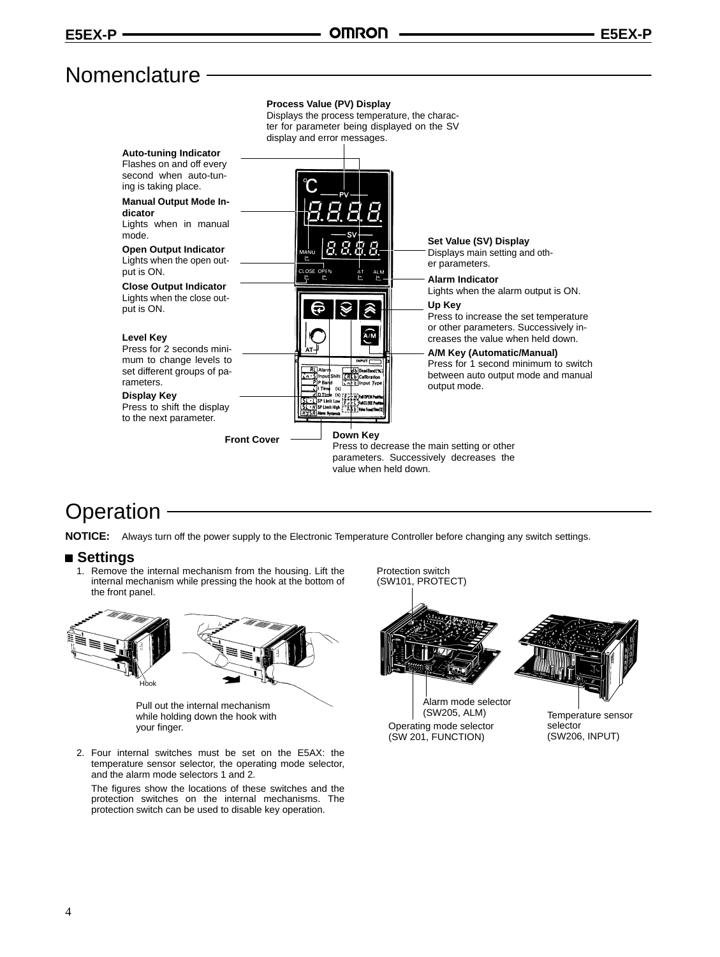# Nomenclature -



# **Operation**

**NOTICE:** Always turn off the power supply to the Electronic Temperature Controller before changing any switch settings.

### **Settings**

1. Remove the internal mechanism from the housing. Lift the internal mechanism while pressing the hook at the bottom of the front panel.





Pull out the internal mechanism while holding down the hook with your finger.

2. Four internal switches must be set on the E5AX: the temperature sensor selector, the operating mode selector, and the alarm mode selectors 1 and 2.

The figures show the locations of these switches and the protection switches on the internal mechanisms. The protection switch can be used to disable key operation.



Operating mode selector (SW 201, FUNCTION)

selector (SW206, INPUT)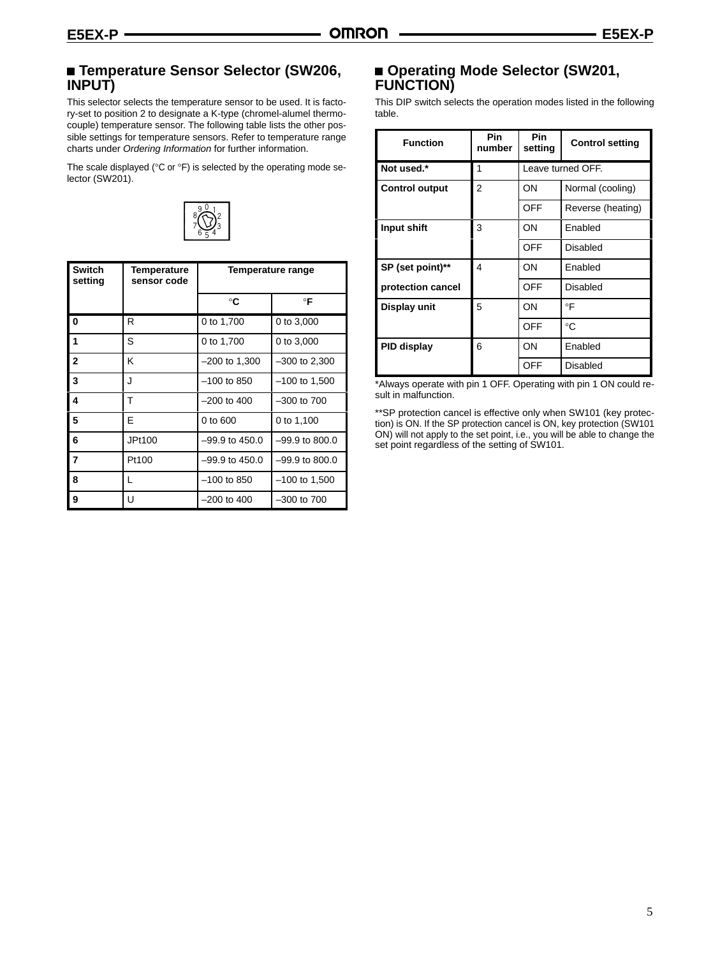## **Temperature Sensor Selector (SW206, INPUT)**

This selector selects the temperature sensor to be used. It is factory-set to position 2 to designate a K-type (chromel-alumel thermocouple) temperature sensor. The following table lists the other possible settings for temperature sensors. Refer to temperature range charts under *Ordering Information* for further information.

The scale displayed (°C or °F) is selected by the operating mode selector (SW201).



| <b>Switch</b><br>setting | Temperature<br>sensor code | Temperature range  |                  |  |
|--------------------------|----------------------------|--------------------|------------------|--|
|                          |                            | °C                 | $\circ$ F        |  |
| $\bf{0}$                 | R                          | 0 to 1,700         | 0 to 3,000       |  |
| 1                        | S                          | 0 to 1,700         | 0 to 3,000       |  |
| $\overline{2}$           | K                          | $-200$ to 1,300    | $-300$ to 2,300  |  |
| 3                        | J                          | $-100$ to 850      | $-100$ to 1,500  |  |
| $\overline{\mathbf{4}}$  | т                          | $-200$ to 400      | $-300$ to $700$  |  |
| 5                        | F                          | 0 to 600           | 0 to 1,100       |  |
| 6                        | JPt100                     | $-99.9$ to $450.0$ | $-99.9$ to 800.0 |  |
| $\overline{7}$           | Pt100                      | $-99.9$ to 450.0   | $-99.9$ to 800.0 |  |
| 8                        | L                          | $-100$ to 850      | $-100$ to 1,500  |  |
| 9                        | U                          | $-200$ to 400      | $-300$ to $700$  |  |

## **Operating Mode Selector (SW201, FUNCTION)**

This DIP switch selects the operation modes listed in the following table.

| <b>Function</b>       | Pin<br>number | <b>Pin</b><br>setting | <b>Control setting</b> |
|-----------------------|---------------|-----------------------|------------------------|
| Not used.*            | 1             |                       | Leave turned OFF.      |
| <b>Control output</b> | 2             | ON                    | Normal (cooling)       |
|                       |               | OFF                   | Reverse (heating)      |
| Input shift           | 3             | ON                    | Enabled                |
|                       |               | OFF                   | Disabled               |
| SP (set point)**      | 4             | ON                    | Enabled                |
| protection cancel     |               | OFF                   | Disabled               |
| Display unit          | 5             | ON                    | $\circ$ F              |
|                       |               | OFF                   | $^{\circ}C$            |
| <b>PID display</b>    | 6             | ON                    | Enabled                |
|                       |               | OFF                   | Disabled               |

\*Always operate with pin 1 OFF. Operating with pin 1 ON could result in malfunction.

\*\*SP protection cancel is effective only when SW101 (key protection) is ON. If the SP protection cancel is ON, key protection (SW101 ON) will not apply to the set point, i.e., you will be able to change the set point regardless of the setting of SW101.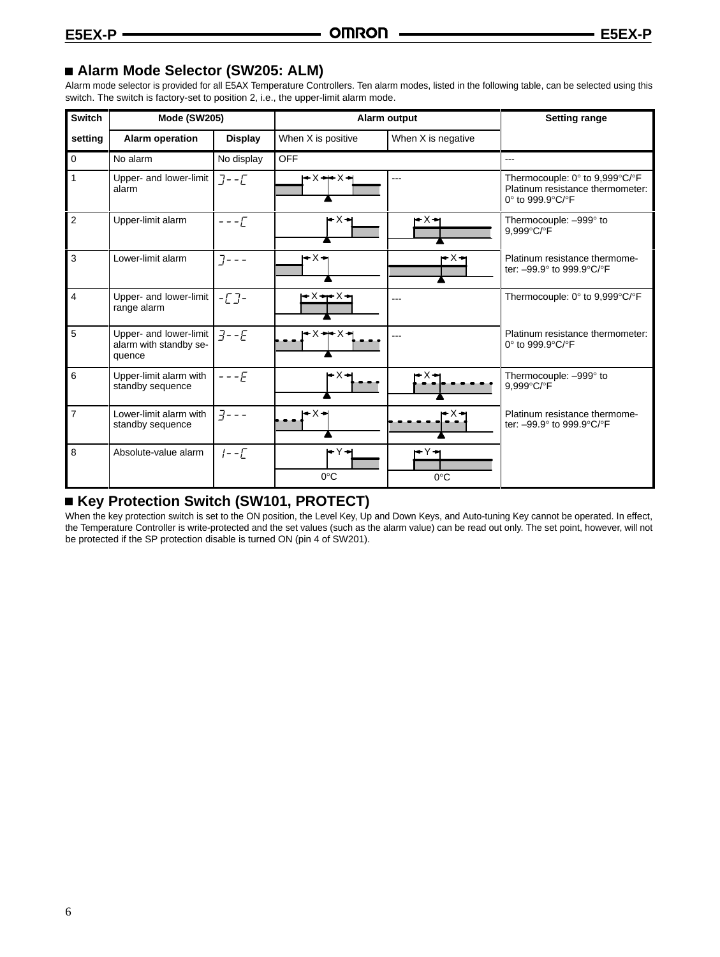### **Alarm Mode Selector (SW205: ALM)**

Alarm mode selector is provided for all E5AX Temperature Controllers. Ten alarm modes, listed in the following table, can be selected using this switch. The switch is factory-set to position 2, i.e., the upper-limit alarm mode.

| <b>Switch</b>  | <b>Mode (SW205)</b>                                        |                  |                      | Alarm output         | <b>Setting range</b>                                                                   |
|----------------|------------------------------------------------------------|------------------|----------------------|----------------------|----------------------------------------------------------------------------------------|
| setting        | <b>Alarm operation</b>                                     | <b>Display</b>   | When X is positive   | When X is negative   |                                                                                        |
| $\mathbf 0$    | No alarm                                                   | No display       | <b>OFF</b>           |                      | ---                                                                                    |
| $\mathbf{1}$   | Upper- and lower-limit<br>alarm                            | $J - \sqrt{2}$   |                      |                      | Thermocouple: 0° to 9,999°C/°F<br>Platinum resistance thermometer:<br>0° to 999.9°C/°F |
| 2              | Upper-limit alarm                                          | $- - - \sqrt{ }$ | r×⊣                  | r×→                  | Thermocouple: -999° to<br>9.999°C/°F                                                   |
| 3              | Lower-limit alarm                                          | $7 - -$          | ⊦×→                  | rX→                  | Platinum resistance thermome-<br>ter: -99.9° to 999.9°C/°F                             |
| $\overline{4}$ | Upper- and lower-limit<br>range alarm                      | $-L$ ]-          | l≁X÷r×≻              | ---                  | Thermocouple: 0° to 9,999°C/°F                                                         |
| 5              | Upper- and lower-limit<br>alarm with standby se-<br>quence | $3 - -E$         | r×÷x⊣                |                      | Platinum resistance thermometer:<br>0° to 999.9°C/°F                                   |
| 6              | Upper-limit alarm with<br>standby sequence                 | $---E$           | rx÷                  |                      | Thermocouple: -999° to<br>9,999°C/°F                                                   |
| $\overline{7}$ | Lower-limit alarm with<br>standby sequence                 | $7 - -$          | l←X→                 |                      | Platinum resistance thermome-<br>ter: -99.9° to 999.9°C/°F                             |
| 8              | Absolute-value alarm                                       | $1 - -\Gamma$    | rY+<br>$0^{\circ}$ C | r¥∗<br>$0^{\circ}$ C |                                                                                        |

## ■ Key Protection Switch (SW101, PROTECT)

When the key protection switch is set to the ON position, the Level Key, Up and Down Keys, and Auto-tuning Key cannot be operated. In effect, the Temperature Controller is write-protected and the set values (such as the alarm value) can be read out only. The set point, however, will not be protected if the SP protection disable is turned ON (pin 4 of SW201).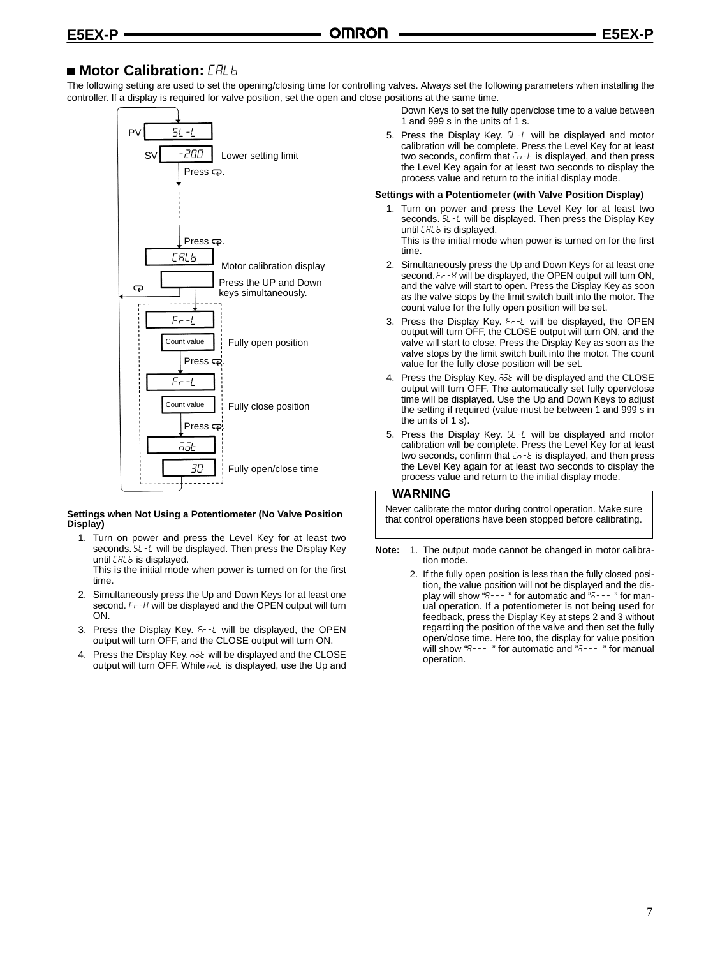# **Motor Calibration: [RLb**

The following setting are used to set the opening/closing time for controlling valves. Always set the following parameters when installing the controller. If a display is required for valve position, set the open and close positions at the same time.



#### **Settings when Not Using a Potentiometer (No Valve Position Display)**

1. Turn on power and press the Level Key for at least two seconds. 5L -L will be displayed. Then press the Display Key until **CRLb** is displayed.

This is the initial mode when power is turned on for the first time.

- 2. Simultaneously press the Up and Down Keys for at least one second. Fr -H will be displayed and the OPEN output will turn ON.
- 3. Press the Display Key. Fr-L will be displayed, the OPEN output will turn OFF, and the CLOSE output will turn ON.
- 4. Press the Display Key,  $\bar{n}$  at will be displayed and the CLOSE output will turn OFF. While Folt is displayed, use the Up and

Down Keys to set the fully open/close time to a value between 1 and 999 s in the units of 1 s.

5. Press the Display Key. 5L-L will be displayed and motor calibration will be complete. Press the Level Key for at least two seconds, confirm that  $\bar{L}$ n- $\bar{L}$  is displayed, and then press the Level Key again for at least two seconds to display the process value and return to the initial display mode.

#### **Settings with a Potentiometer (with Valve Position Display)**

1. Turn on power and press the Level Key for at least two seconds. 5L -L will be displayed. Then press the Display Key until **[RLb** is displayed.

This is the initial mode when power is turned on for the first time.

- 2. Simultaneously press the Up and Down Keys for at least one second. Fr -H will be displayed, the OPEN output will turn ON, and the valve will start to open. Press the Display Key as soon as the valve stops by the limit switch built into the motor. The count value for the fully open position will be set.
- 3. Press the Display Key. Fr-L will be displayed, the OPEN output will turn OFF, the CLOSE output will turn ON, and the valve will start to close. Press the Display Key as soon as the valve stops by the limit switch built into the motor. The count value for the fully close position will be set.
- 4. Press the Display Key.  $\bar{n}\bar{o}k$  will be displayed and the CLOSE output will turn OFF. The automatically set fully open/close time will be displayed. Use the Up and Down Keys to adjust the setting if required (value must be between 1 and 999 s in the units of 1 s).
- 5. Press the Display Key. 5L-L will be displayed and motor calibration will be complete. Press the Level Key for at least two seconds, confirm that  $\bar{L}$ n- $\bar{L}$  is displayed, and then press the Level Key again for at least two seconds to display the process value and return to the initial display mode.

#### **WARNING**

Never calibrate the motor during control operation. Make sure that control operations have been stopped before calibrating.

- **Note:** 1. The output mode cannot be changed in motor calibration mode.
	- 2. If the fully open position is less than the fully closed position, the value position will not be displayed and the display will show "P - - - " for automatic and "¬ - - - " for manual operation. If a potentiometer is not being used for feedback, press the Display Key at steps 2 and 3 without regarding the position of the valve and then set the fully open/close time. Here too, the display for value position will show " $B$ --- " for automatic and " $\tilde{b}$ ---- " for manual operation.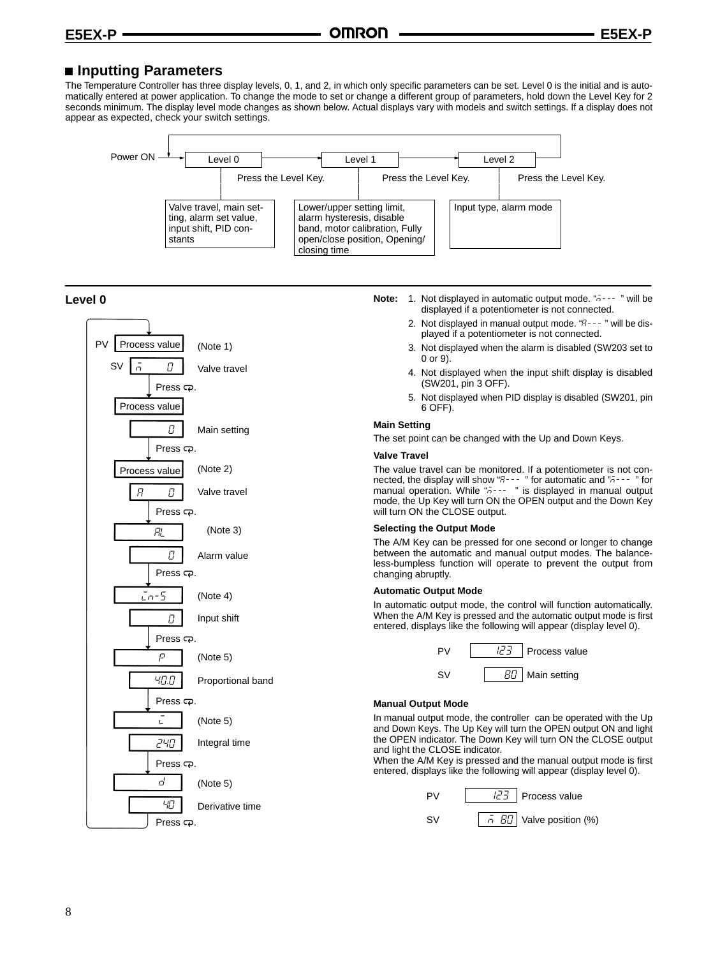### ■ Inputting Parameters

The Temperature Controller has three display levels, 0, 1, and 2, in which only specific parameters can be set. Level 0 is the initial and is automatically entered at power application. To change the mode to set or change a different group of parameters, hold down the Level Key for 2 seconds minimum. The display level mode changes as shown below. Actual displays vary with models and switch settings. If a display does not appear as expected, check your switch settings.



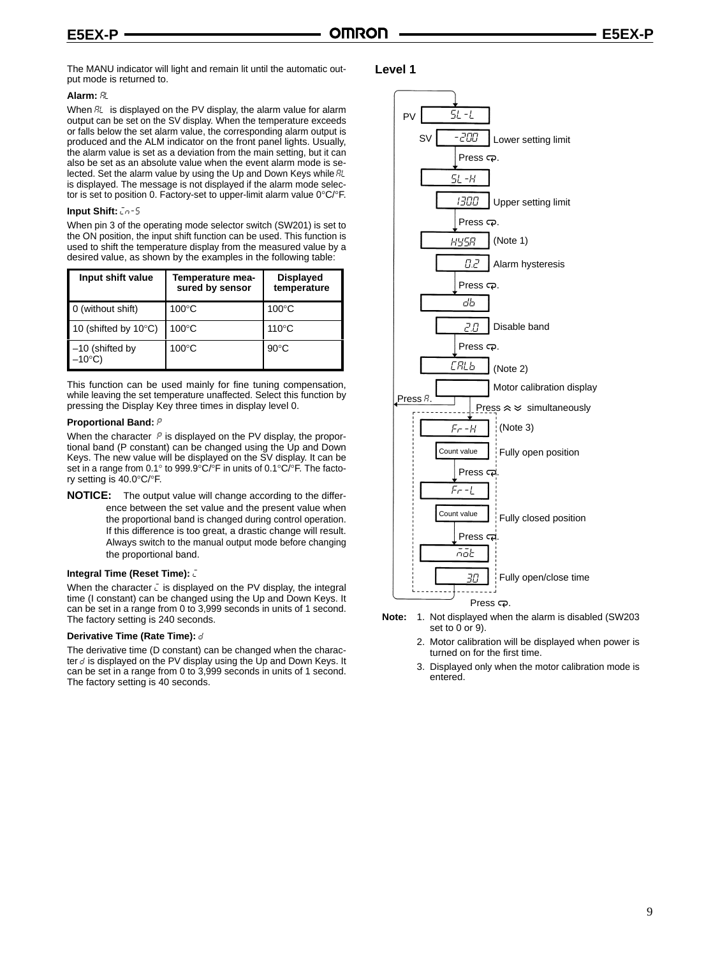The MANU indicator will light and remain lit until the automatic output mode is returned to.

#### **Alarm:**

When  $\mathbb{R}$  is displayed on the PV display, the alarm value for alarm output can be set on the SV display. When the temperature exceeds or falls below the set alarm value, the corresponding alarm output is produced and the ALM indicator on the front panel lights. Usually, the alarm value is set as a deviation from the main setting, but it can also be set as an absolute value when the event alarm mode is selected. Set the alarm value by using the Up and Down Keys while RL is displayed. The message is not displayed if the alarm mode selector is set to position 0. Factory-set to upper-limit alarm value 0°C/°F.

#### **Input Shift:**  $ln - 5$

When pin 3 of the operating mode selector switch (SW201) is set to the ON position, the input shift function can be used. This function is used to shift the temperature display from the measured value by a desired value, as shown by the examples in the following table:

| Input shift value                     | Temperature mea-<br>sured by sensor | <b>Displayed</b><br>temperature |  |
|---------------------------------------|-------------------------------------|---------------------------------|--|
| 0 (without shift)                     | $100^{\circ}$ C                     | $100^{\circ}$ C                 |  |
| 10 (shifted by $10^{\circ}$ C)        | $100^{\circ}$ C                     | $110^{\circ}$ C                 |  |
| $-10$ (shifted by<br>$-10^{\circ}$ C) | $100^{\circ}$ C                     | $90^{\circ}$ C                  |  |

This function can be used mainly for fine tuning compensation, while leaving the set temperature unaffected. Select this function by pressing the Display Key three times in display level 0.

#### **Proportional Band:**

When the character  $P$  is displayed on the PV display, the proportional band (P constant) can be changed using the Up and Down Keys. The new value will be displayed on the SV display. It can be set in a range from 0.1° to 999.9°C/°F in units of 0.1°C/°F. The factory setting is 40.0°C/°F.

**NOTICE:** The output value will change according to the difference between the set value and the present value when the proportional band is changed during control operation. If this difference is too great, a drastic change will result. Always switch to the manual output mode before changing the proportional band.

#### **Integral Time (Reset Time):**

When the character  $\bar{L}$  is displayed on the PV display, the integral time (I constant) can be changed using the Up and Down Keys. It can be set in a range from 0 to 3,999 seconds in units of 1 second. The factory setting is 240 seconds.

#### **Derivative Time (Rate Time):**

The derivative time (D constant) can be changed when the character  $d$  is displayed on the PV display using the Up and Down Keys. It can be set in a range from 0 to 3,999 seconds in units of 1 second. The factory setting is 40 seconds.

#### **Level 1**



- **Note:** 1. Not displayed when the alarm is disabled (SW203 set to 0 or 9).
	- 2. Motor calibration will be displayed when power is turned on for the first time.
	- 3. Displayed only when the motor calibration mode is entered.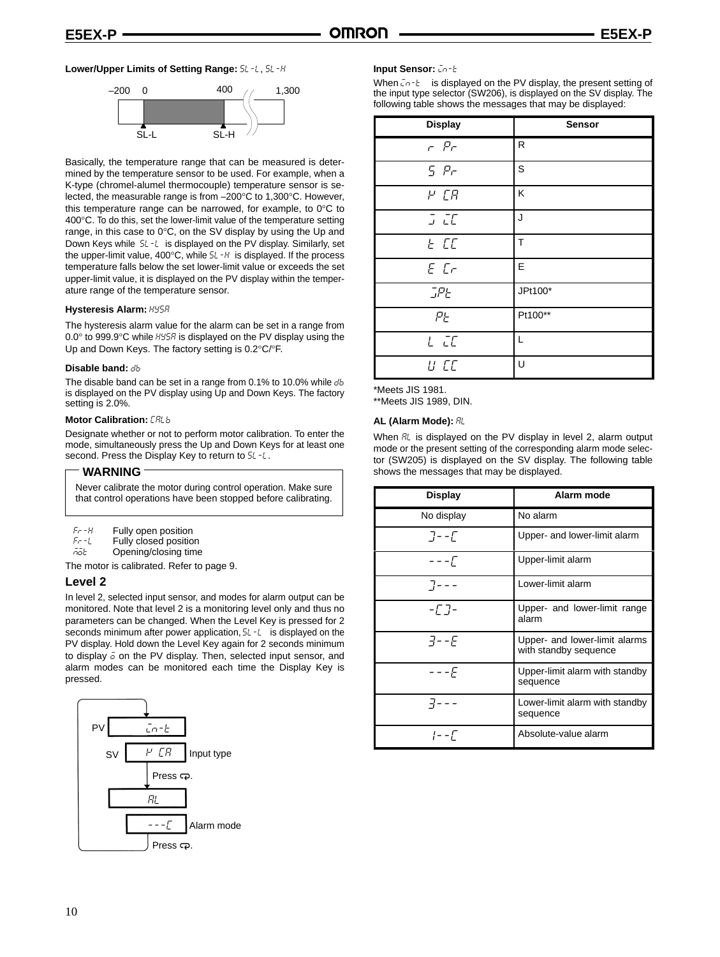#### Lower/Upper Limits of Setting Range: 5L -L, 5L -H



Basically, the temperature range that can be measured is determined by the temperature sensor to be used. For example, when a K-type (chromel-alumel thermocouple) temperature sensor is selected, the measurable range is from –200°C to 1,300°C. However, this temperature range can be narrowed, for example, to 0°C to 400°C. To do this, set the lower-limit value of the temperature setting range, in this case to 0°C, on the SV display by using the Up and Down Keys while 5L-L is displayed on the PV display. Similarly, set the upper-limit value,  $400^{\circ}$ C, while  $5L - H$  is displayed. If the process temperature falls below the set lower-limit value or exceeds the set upper-limit value, it is displayed on the PV display within the temperature range of the temperature sensor.

#### **Hysteresis Alarm:**

The hysteresis alarm value for the alarm can be set in a range from  $0.0^\circ$  to 999.9 $^\circ$ C while  $H45H$  is displayed on the PV display using the Up and Down Keys. The factory setting is 0.2°C/°F.

#### **Disable band:**

The disable band can be set in a range from 0.1% to 10.0% while db is displayed on the PV display using Up and Down Keys. The factory setting is 2.0%.

#### **Motor Calibration:**

Designate whether or not to perform motor calibration. To enter the mode, simultaneously press the Up and Down Keys for at least one second. Press the Display Key to return to  $5L - L$ .

#### **WARNING**

Never calibrate the motor during control operation. Make sure that control operations have been stopped before calibrating.

| Fr - H |  | Fully open position |
|--------|--|---------------------|
|        |  |                     |

 $Fr-1$  $F - L$  Fully closed position<br>Fight Chening/closing time

Opening/closing time

The motor is calibrated. Refer to page 9.

#### **Level 2**

In level 2, selected input sensor, and modes for alarm output can be monitored. Note that level 2 is a monitoring level only and thus no parameters can be changed. When the Level Key is pressed for 2 seconds minimum after power application,  $5L - L$  is displayed on the PV display. Hold down the Level Key again for 2 seconds minimum to display  $\bar{o}$  on the PV display. Then, selected input sensor, and alarm modes can be monitored each time the Display Key is pressed.



#### **Input Sensor:**  $\bar{L}n - \bar{L}$

When  $\bar{L}n - E$  is displayed on the PV display, the present setting of the input type selector (SW206), is displayed on the SV display. The following table shows the messages that may be displayed:

| <b>Display</b>     | Sensor  |
|--------------------|---------|
| $ Pr$              | R       |
| 5 P                | S       |
| $P$ $CR$           | K       |
| $J$ $\overline{L}$ | J       |
| E EE               | T       |
| $E$ $Cr$           | E       |
| <b>JPE</b>         | JPt100* |
| PE                 | Pt100** |
| $L$ $L$            | L       |
| U CC               | U       |

\*Meets JIS 1981.

\*\*Meets JIS 1989, DIN.

#### **AL (Alarm Mode):**

When  $R$ L is displayed on the PV display in level 2, alarm output mode or the present setting of the corresponding alarm mode selector (SW205) is displayed on the SV display. The following table shows the messages that may be displayed.

| <b>Display</b> | Alarm mode                                             |
|----------------|--------------------------------------------------------|
| No display     | No alarm                                               |
| $7 - -1$       | Upper- and lower-limit alarm                           |
| – – – Г        | Upper-limit alarm                                      |
| $7 - - -$      | Lower-limit alarm                                      |
| -17-           | Upper- and lower-limit range<br>alarm                  |
| $7 - F$        | Upper- and lower-limit alarms<br>with standby sequence |
| ---F           | Upper-limit alarm with standby<br>sequence             |
|                | Lower-limit alarm with standby<br>sequence             |
| $1 - -\Gamma$  | Absolute-value alarm                                   |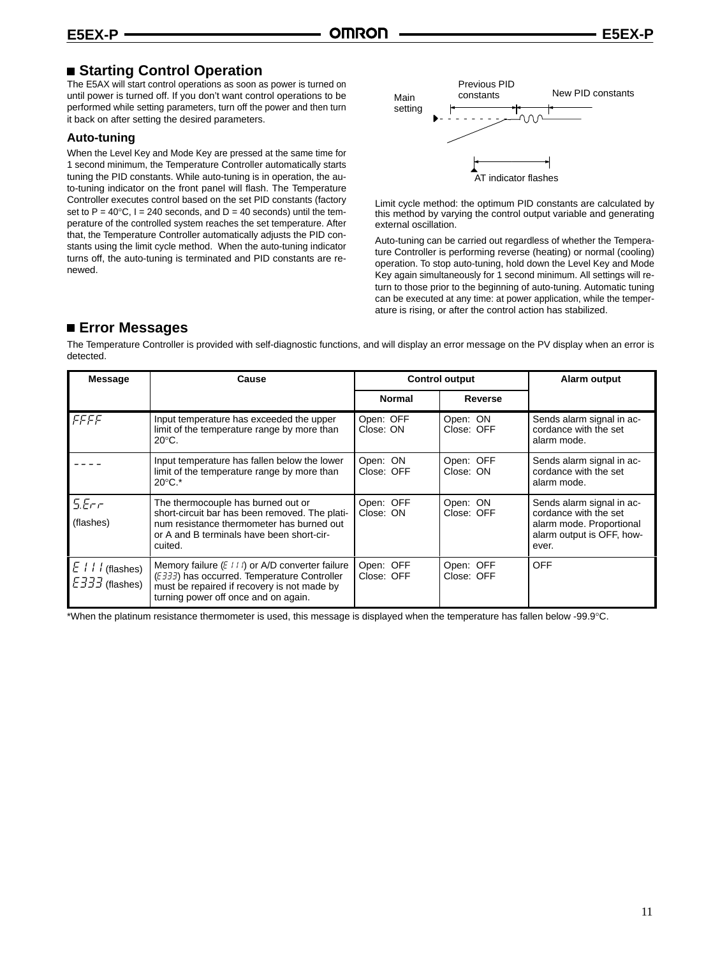### **Starting Control Operation**

The E5AX will start control operations as soon as power is turned on until power is turned off. If you don't want control operations to be performed while setting parameters, turn off the power and then turn it back on after setting the desired parameters.

#### **Auto-tuning**

When the Level Key and Mode Key are pressed at the same time for 1 second minimum, the Temperature Controller automatically starts tuning the PID constants. While auto-tuning is in operation, the auto-tuning indicator on the front panel will flash. The Temperature Controller executes control based on the set PID constants (factory set to  $P = 40^{\circ}$ C, I = 240 seconds, and D = 40 seconds) until the temperature of the controlled system reaches the set temperature. After that, the Temperature Controller automatically adjusts the PID constants using the limit cycle method. When the auto-tuning indicator turns off, the auto-tuning is terminated and PID constants are renewed.



Limit cycle method: the optimum PID constants are calculated by this method by varying the control output variable and generating external oscillation.

Auto-tuning can be carried out regardless of whether the Temperature Controller is performing reverse (heating) or normal (cooling) operation. To stop auto-tuning, hold down the Level Key and Mode Key again simultaneously for 1 second minimum. All settings will return to those prior to the beginning of auto-tuning. Automatic tuning can be executed at any time: at power application, while the temperature is rising, or after the control action has stabilized.

### **Error Messages**

The Temperature Controller is provided with self-diagnostic functions, and will display an error message on the PV display when an error is detected.

| <b>Message</b>                                               | Cause                                                                                                                                                                                                     |                         | <b>Control output</b>   | Alarm output                                                                                                         |
|--------------------------------------------------------------|-----------------------------------------------------------------------------------------------------------------------------------------------------------------------------------------------------------|-------------------------|-------------------------|----------------------------------------------------------------------------------------------------------------------|
|                                                              |                                                                                                                                                                                                           | <b>Normal</b>           | Reverse                 |                                                                                                                      |
| FFFF                                                         | Input temperature has exceeded the upper<br>limit of the temperature range by more than<br>$20^{\circ}$ C.                                                                                                | Open: OFF<br>Close: ON  | Open: ON<br>Close: OFF  | Sends alarm signal in ac-<br>cordance with the set<br>alarm mode.                                                    |
|                                                              | Input temperature has fallen below the lower<br>limit of the temperature range by more than<br>$20^{\circ}$ C.*                                                                                           | Open: ON<br>Close: OFF  | Open: OFF<br>Close: ON  | Sends alarm signal in ac-<br>cordance with the set<br>alarm mode.                                                    |
| 5.5c<br>(flashes)                                            | The thermocouple has burned out or<br>short-circuit bar has been removed. The plati-<br>num resistance thermometer has burned out<br>or A and B terminals have been short-cir-<br>cuited.                 | Open: OFF<br>Close: ON  | Open: ON<br>Close: OFF  | Sends alarm signal in ac-<br>cordance with the set<br>alarm mode. Proportional<br>alarm output is OFF, how-<br>ever. |
| $E$ / $\frac{1}{2}$ (flashes)<br>$E\overline{333}$ (flashes) | Memory failure $(E \mid \cdot \mid \cdot)$ or A/D converter failure<br>(E333) has occurred. Temperature Controller<br>must be repaired if recovery is not made by<br>turning power off once and on again. | Open: OFF<br>Close: OFF | Open: OFF<br>Close: OFF | <b>OFF</b>                                                                                                           |

\*When the platinum resistance thermometer is used, this message is displayed when the temperature has fallen below -99.9°C.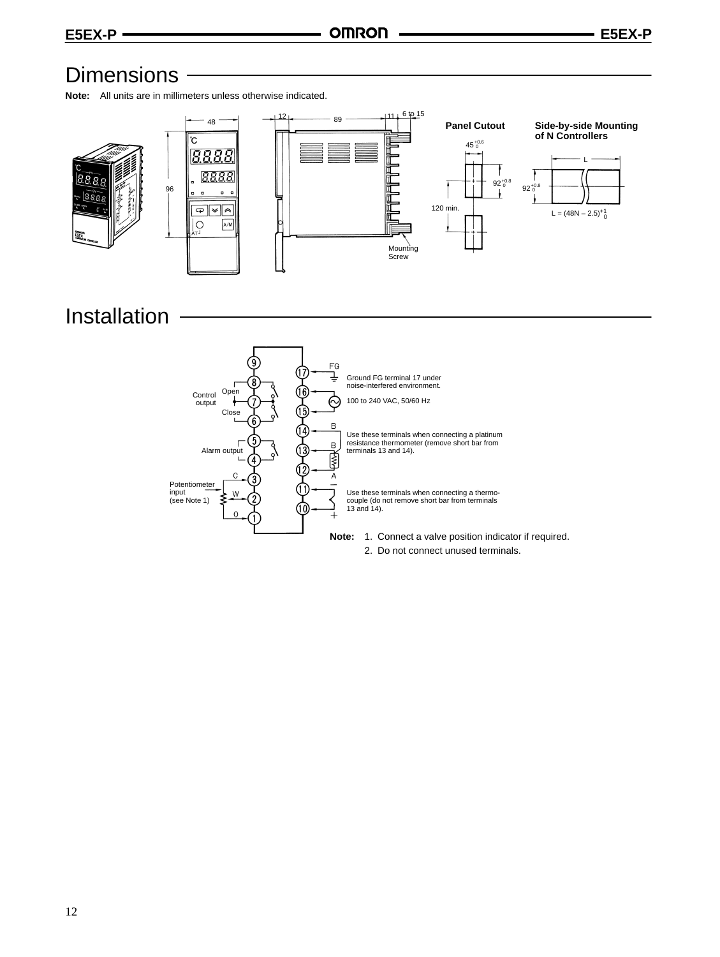# Dimensions -

**Note:** All units are in millimeters unless otherwise indicated.



# Installation

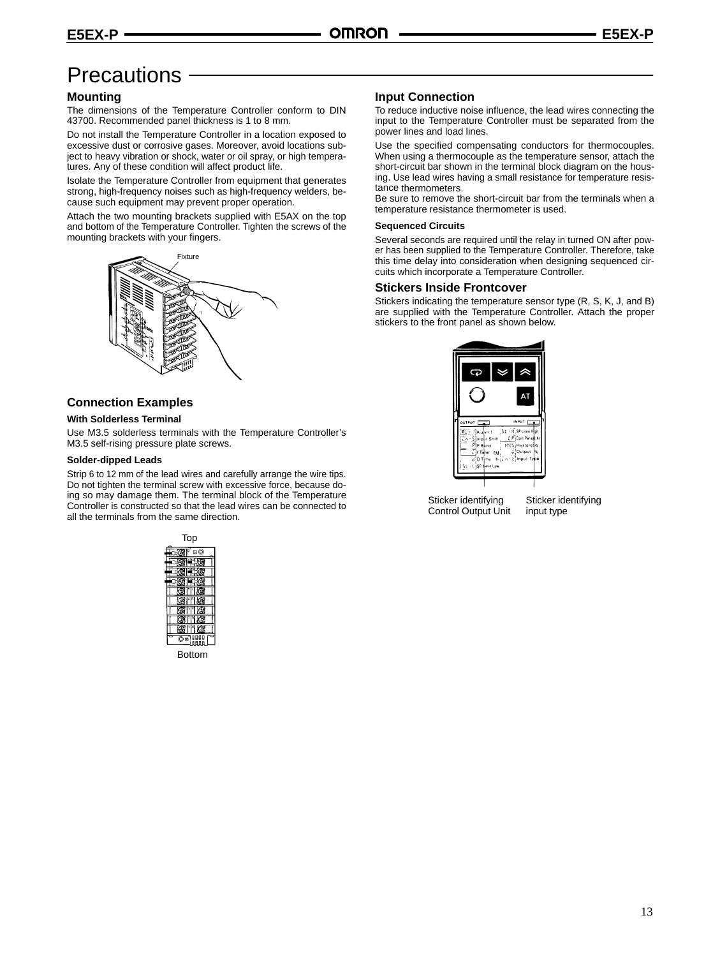# **Precautions**

#### **Mounting**

The dimensions of the Temperature Controller conform to DIN 43700. Recommended panel thickness is 1 to 8 mm.

Do not install the Temperature Controller in a location exposed to excessive dust or corrosive gases. Moreover, avoid locations subject to heavy vibration or shock, water or oil spray, or high temperatures. Any of these condition will affect product life.

Isolate the Temperature Controller from equipment that generates strong, high-frequency noises such as high-frequency welders, because such equipment may prevent proper operation.

Attach the two mounting brackets supplied with E5AX on the top and bottom of the Temperature Controller. Tighten the screws of the mounting brackets with your fingers.



### **Connection Examples**

#### **With Solderless Terminal**

Use M3.5 solderless terminals with the Temperature Controller's M3.5 self-rising pressure plate screws.

#### **Solder-dipped Leads**

Strip 6 to 12 mm of the lead wires and carefully arrange the wire tips. Do not tighten the terminal screw with excessive force, because doing so may damage them. The terminal block of the Temperature Controller is constructed so that the lead wires can be connected to all the terminals from the same direction.



#### **Input Connection**

To reduce inductive noise influence, the lead wires connecting the input to the Temperature Controller must be separated from the power lines and load lines.

Use the specified compensating conductors for thermocouples. When using a thermocouple as the temperature sensor, attach the short-circuit bar shown in the terminal block diagram on the housing. Use lead wires having a small resistance for temperature resistance thermometers.

Be sure to remove the short-circuit bar from the terminals when a temperature resistance thermometer is used.

#### **Sequenced Circuits**

Several seconds are required until the relay in turned ON after power has been supplied to the Temperature Controller. Therefore, take this time delay into consideration when designing sequenced circuits which incorporate a Temperature Controller.

#### **Stickers Inside Frontcover**

Stickers indicating the temperature sensor type (R, S, K, J, and B) are supplied with the Temperature Controller. Attach the proper stickers to the front panel as shown below.



Sticker identifying Control Output Unit

Sticker identifying input type